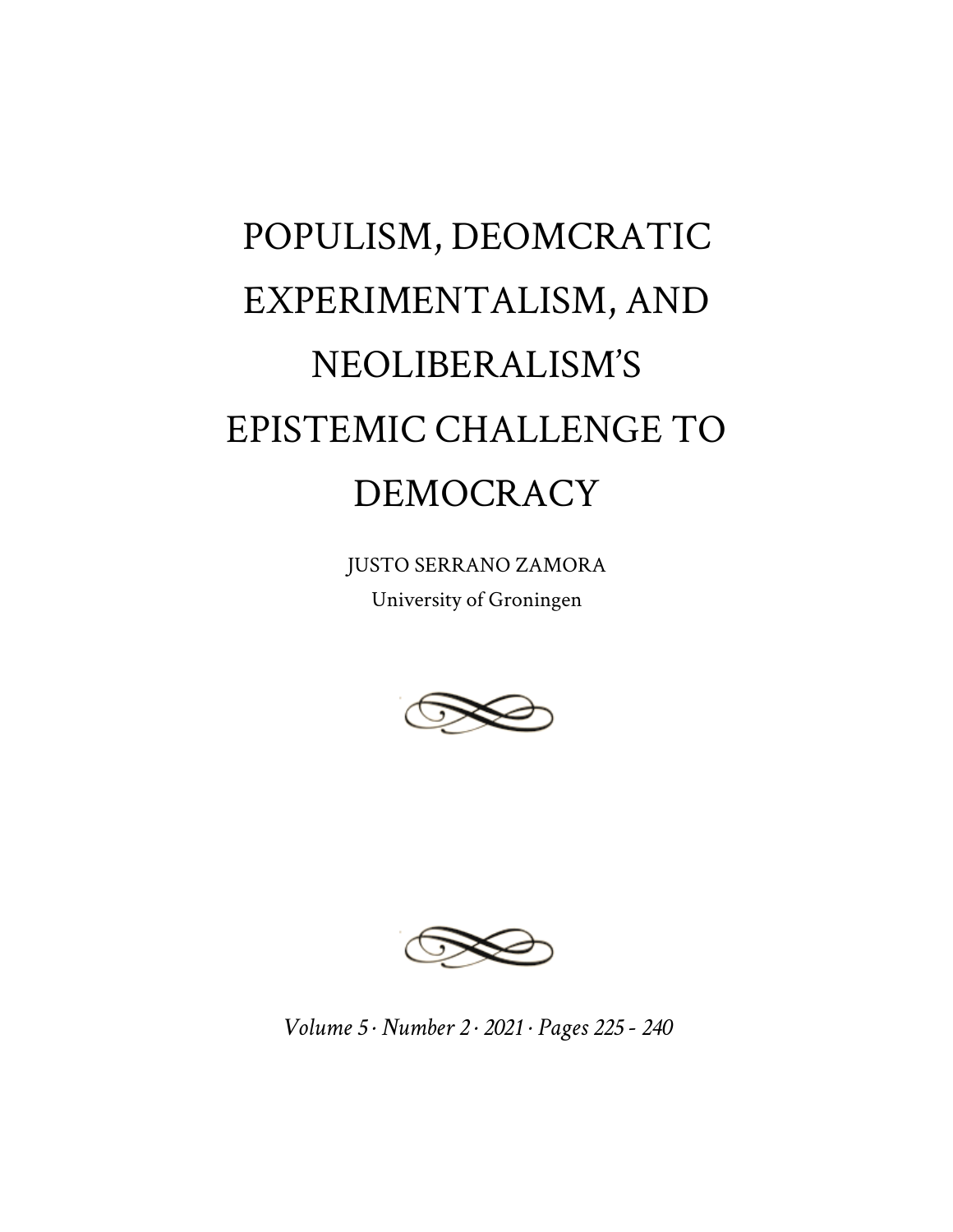## POPULISM, DEOMCRATIC EXPERIMENTALISM, AND NEOLIBERALISM'S EPISTEMIC CHALLENGE TO DEMOCRACY

JUSTO SERRANO ZAMORA University of Groningen





*Volume 5 · Number 2 · 2021 · Pages 225 - 240*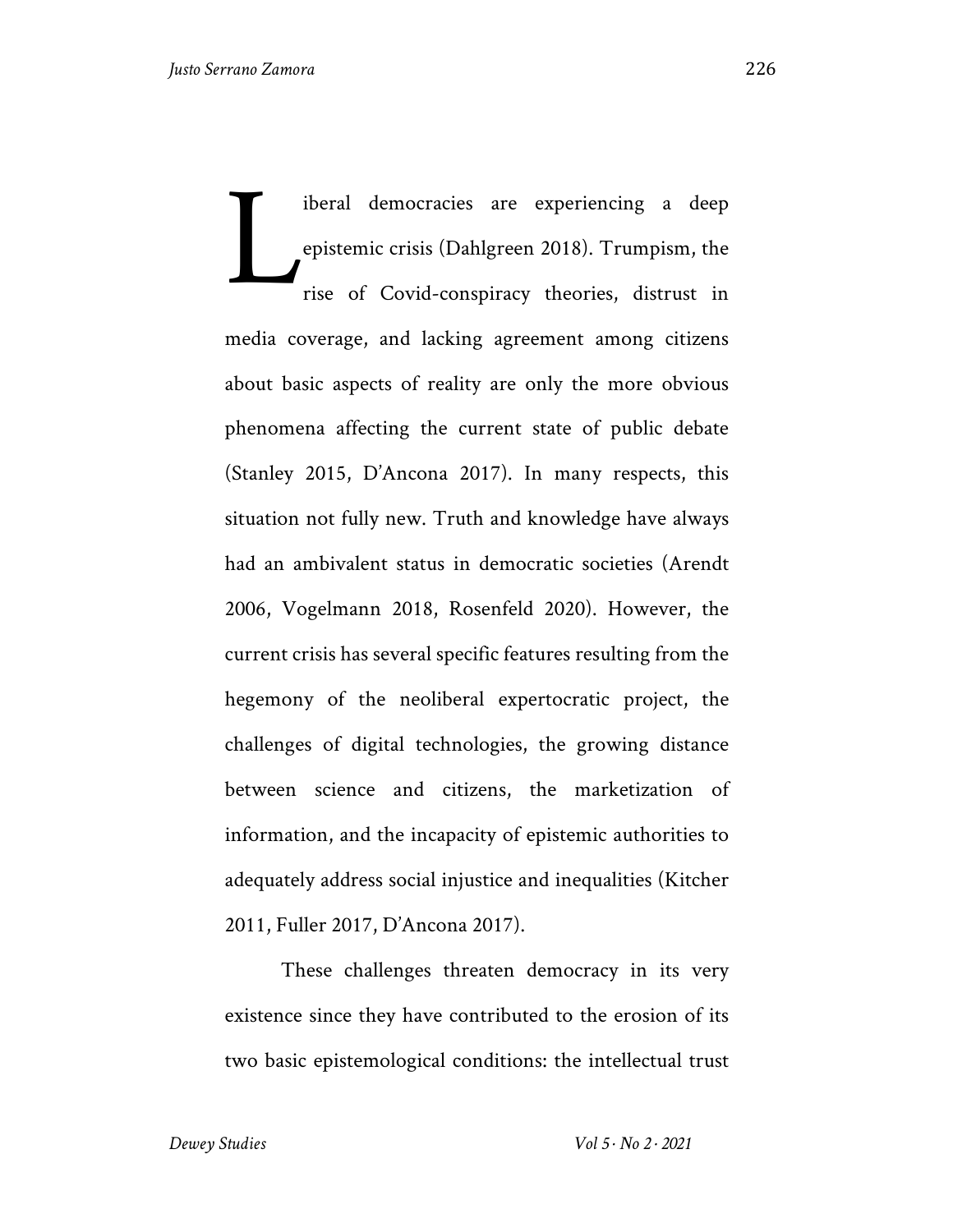iberal democracies are experiencing a deep epistemic crisis (Dahlgreen 2018). Trumpism, the rise of Covid-conspiracy theories, distrust in media coverage, and lacking agreement among citizens about basic aspects of reality are only the more obvious phenomena affecting the current state of public debate (Stanley 2015, D'Ancona 2017). In many respects, this situation not fully new. Truth and knowledge have always had an ambivalent status in democratic societies (Arendt 2006, Vogelmann 2018, Rosenfeld 2020). However, the current crisis has several specific features resulting from the hegemony of the neoliberal expertocratic project, the challenges of digital technologies, the growing distance between science and citizens, the marketization of information, and the incapacity of epistemic authorities to adequately address social injustice and inequalities (Kitcher 2011, Fuller 2017, D'Ancona 2017). L

These challenges threaten democracy in its very existence since they have contributed to the erosion of its two basic epistemological conditions: the intellectual trust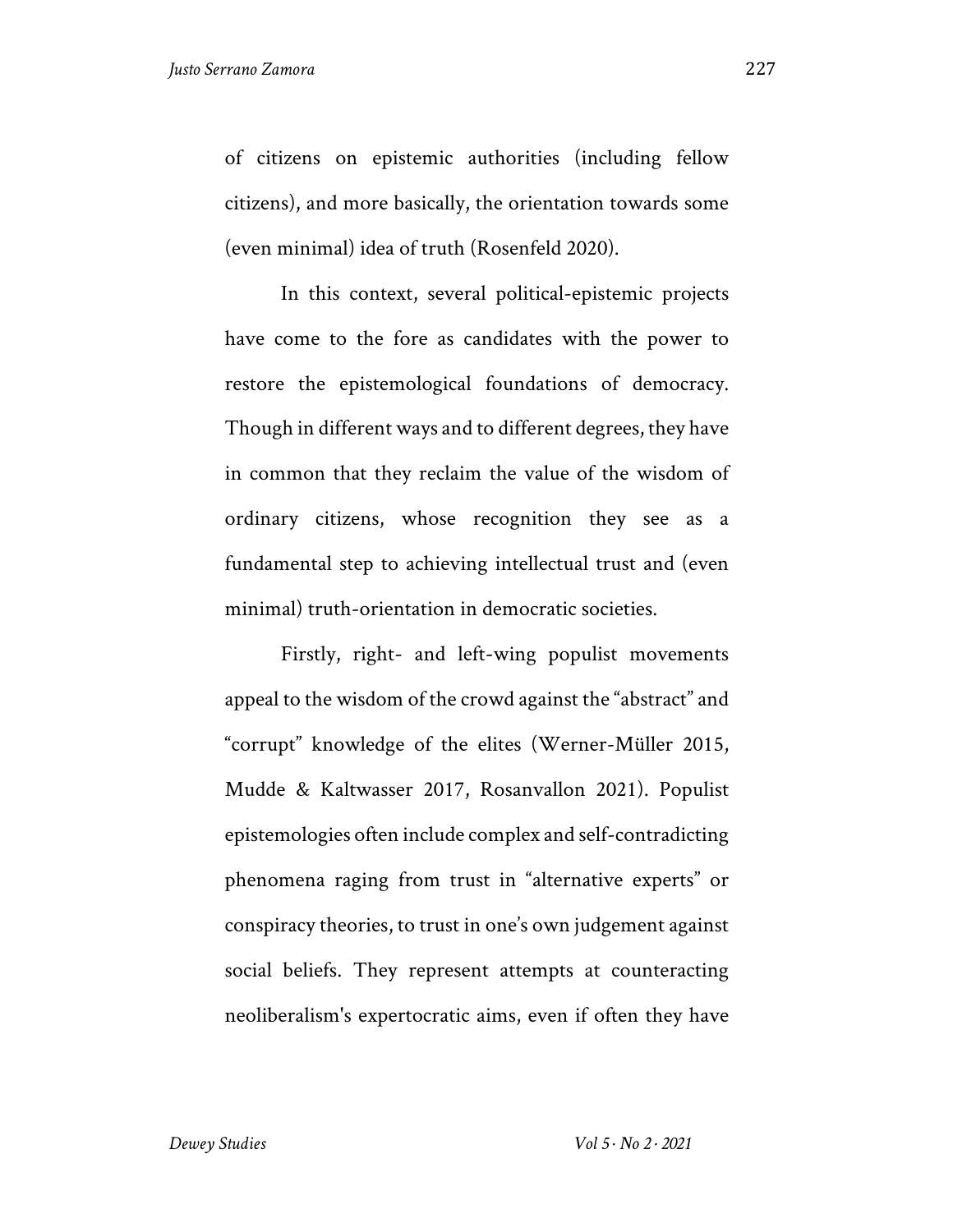of citizens on epistemic authorities (including fellow citizens), and more basically, the orientation towards some (even minimal) idea of truth (Rosenfeld 2020).

In this context, several political-epistemic projects have come to the fore as candidates with the power to restore the epistemological foundations of democracy. Though in different ways and to different degrees, they have in common that they reclaim the value of the wisdom of ordinary citizens, whose recognition they see as a fundamental step to achieving intellectual trust and (even minimal) truth-orientation in democratic societies.

Firstly, right- and left-wing populist movements appeal to the wisdom of the crowd against the "abstract" and "corrupt" knowledge of the elites (Werner-Müller 2015, Mudde & Kaltwasser 2017, Rosanvallon 2021). Populist epistemologies often include complex and self-contradicting phenomena raging from trust in "alternative experts" or conspiracy theories, to trust in one's own judgement against social beliefs. They represent attempts at counteracting neoliberalism's expertocratic aims, even if often they have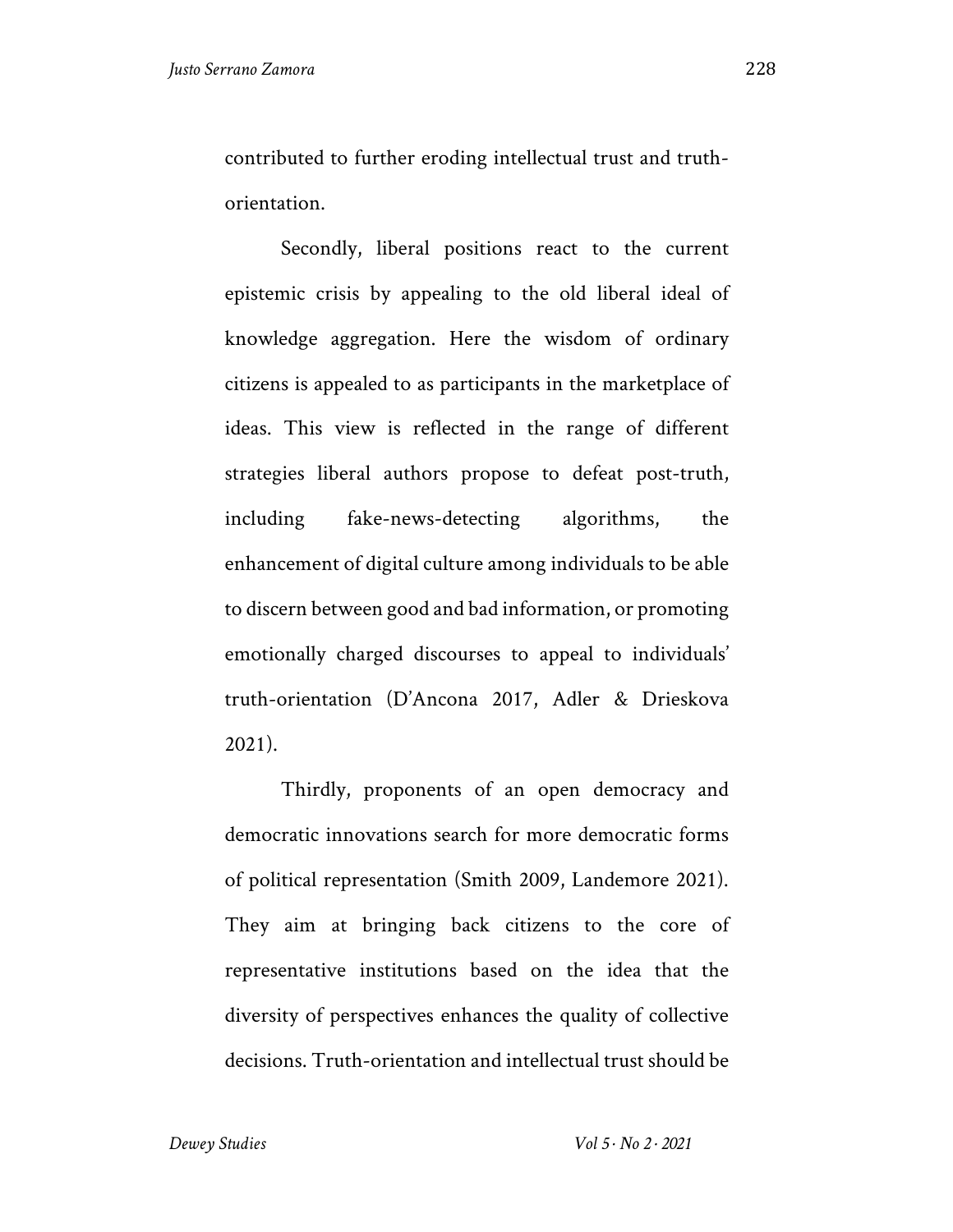contributed to further eroding intellectual trust and truthorientation.

Secondly, liberal positions react to the current epistemic crisis by appealing to the old liberal ideal of knowledge aggregation. Here the wisdom of ordinary citizens is appealed to as participants in the marketplace of ideas. This view is reflected in the range of different strategies liberal authors propose to defeat post-truth, including fake-news-detecting algorithms, the enhancement of digital culture among individuals to be able to discern between good and bad information, or promoting emotionally charged discourses to appeal to individuals' truth-orientation (D'Ancona 2017, Adler & Drieskova 2021).

Thirdly, proponents of an open democracy and democratic innovations search for more democratic forms of political representation (Smith 2009, Landemore 2021). They aim at bringing back citizens to the core of representative institutions based on the idea that the diversity of perspectives enhances the quality of collective decisions. Truth-orientation and intellectual trust should be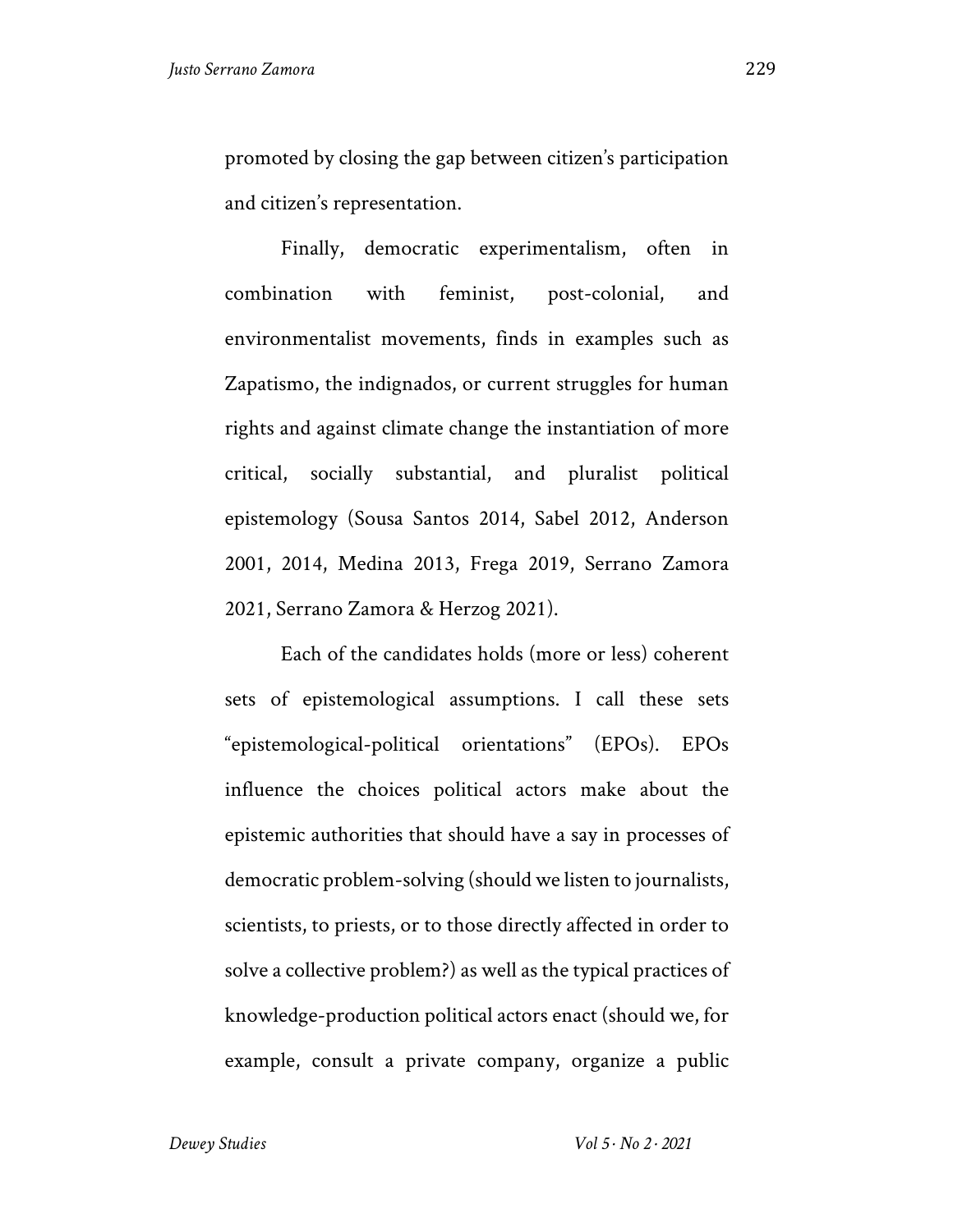promoted by closing the gap between citizen's participation and citizen's representation.

Finally, democratic experimentalism, often in combination with feminist, post-colonial, and environmentalist movements, finds in examples such as Zapatismo, the indignados, or current struggles for human rights and against climate change the instantiation of more critical, socially substantial, and pluralist political epistemology (Sousa Santos 2014, Sabel 2012, Anderson 2001, 2014, Medina 2013, Frega 2019, Serrano Zamora 2021, Serrano Zamora & Herzog 2021).

Each of the candidates holds (more or less) coherent sets of epistemological assumptions. I call these sets "epistemological-political orientations" (EPOs). EPOs influence the choices political actors make about the epistemic authorities that should have a say in processes of democratic problem-solving (should we listen to journalists, scientists, to priests, or to those directly affected in order to solve a collective problem?) as well as the typical practices of knowledge-production political actors enact (should we, for example, consult a private company, organize a public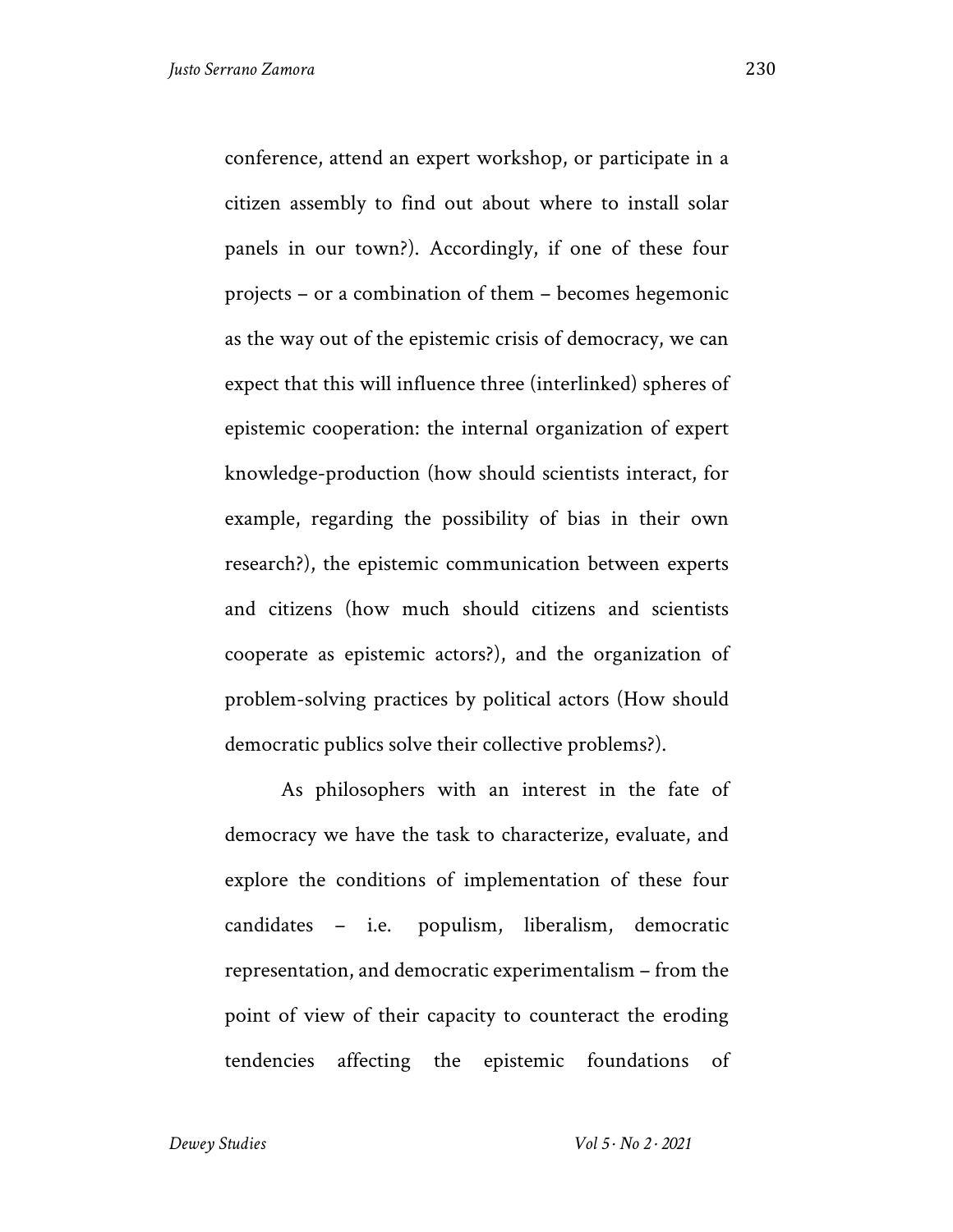conference, attend an expert workshop, or participate in a citizen assembly to find out about where to install solar panels in our town?). Accordingly, if one of these four projects – or a combination of them – becomes hegemonic as the way out of the epistemic crisis of democracy, we can expect that this will influence three (interlinked) spheres of epistemic cooperation: the internal organization of expert knowledge-production (how should scientists interact, for example, regarding the possibility of bias in their own research?), the epistemic communication between experts and citizens (how much should citizens and scientists cooperate as epistemic actors?), and the organization of problem-solving practices by political actors (How should democratic publics solve their collective problems?).

As philosophers with an interest in the fate of democracy we have the task to characterize, evaluate, and explore the conditions of implementation of these four candidates – i.e. populism, liberalism, democratic representation, and democratic experimentalism – from the point of view of their capacity to counteract the eroding tendencies affecting the epistemic foundations of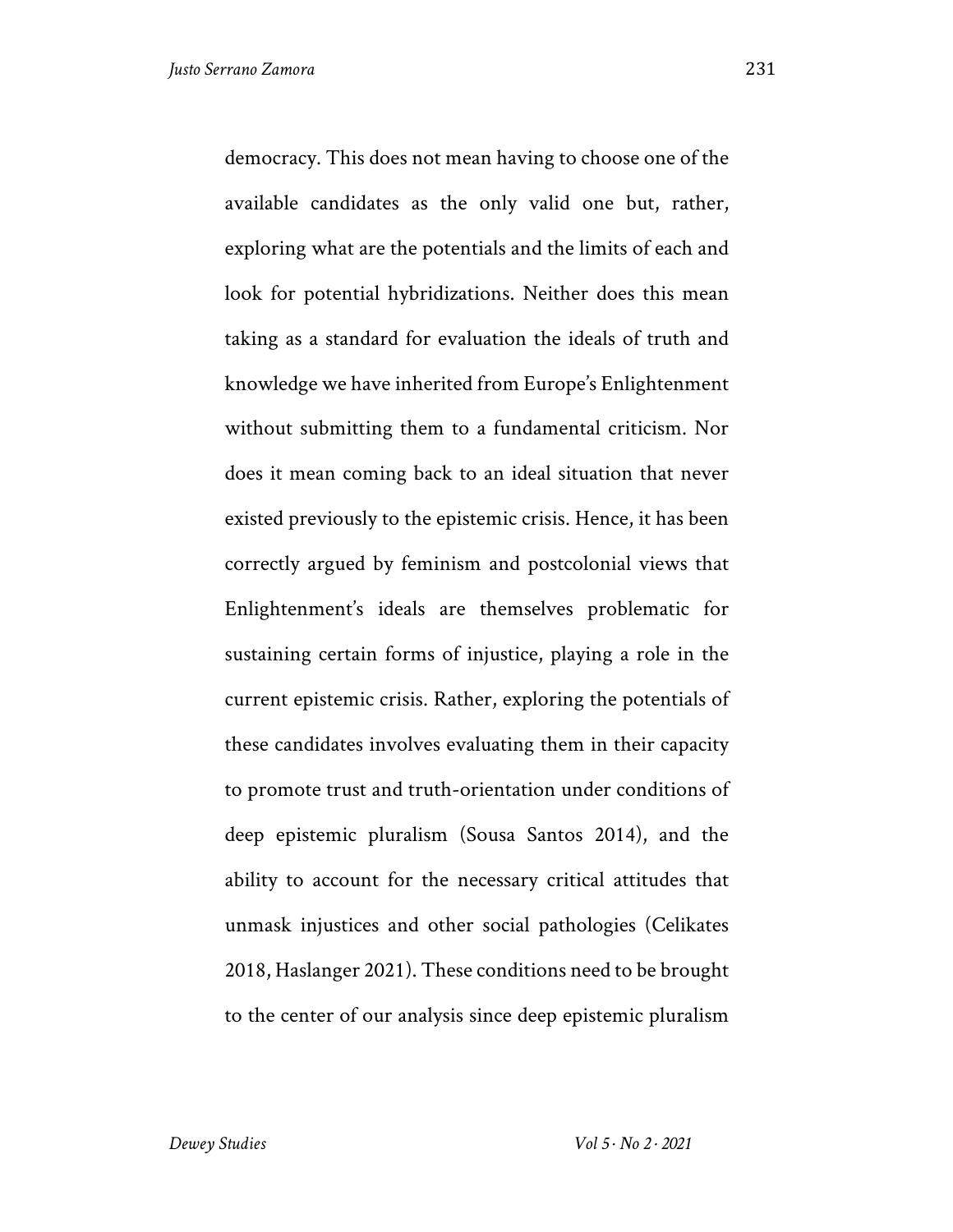democracy. This does not mean having to choose one of the available candidates as the only valid one but, rather, exploring what are the potentials and the limits of each and look for potential hybridizations. Neither does this mean taking as a standard for evaluation the ideals of truth and knowledge we have inherited from Europe's Enlightenment without submitting them to a fundamental criticism. Nor does it mean coming back to an ideal situation that never existed previously to the epistemic crisis. Hence, it has been correctly argued by feminism and postcolonial views that Enlightenment's ideals are themselves problematic for sustaining certain forms of injustice, playing a role in the current epistemic crisis. Rather, exploring the potentials of these candidates involves evaluating them in their capacity to promote trust and truth-orientation under conditions of deep epistemic pluralism (Sousa Santos 2014), and the ability to account for the necessary critical attitudes that unmask injustices and other social pathologies (Celikates 2018, Haslanger 2021). These conditions need to be brought to the center of our analysis since deep epistemic pluralism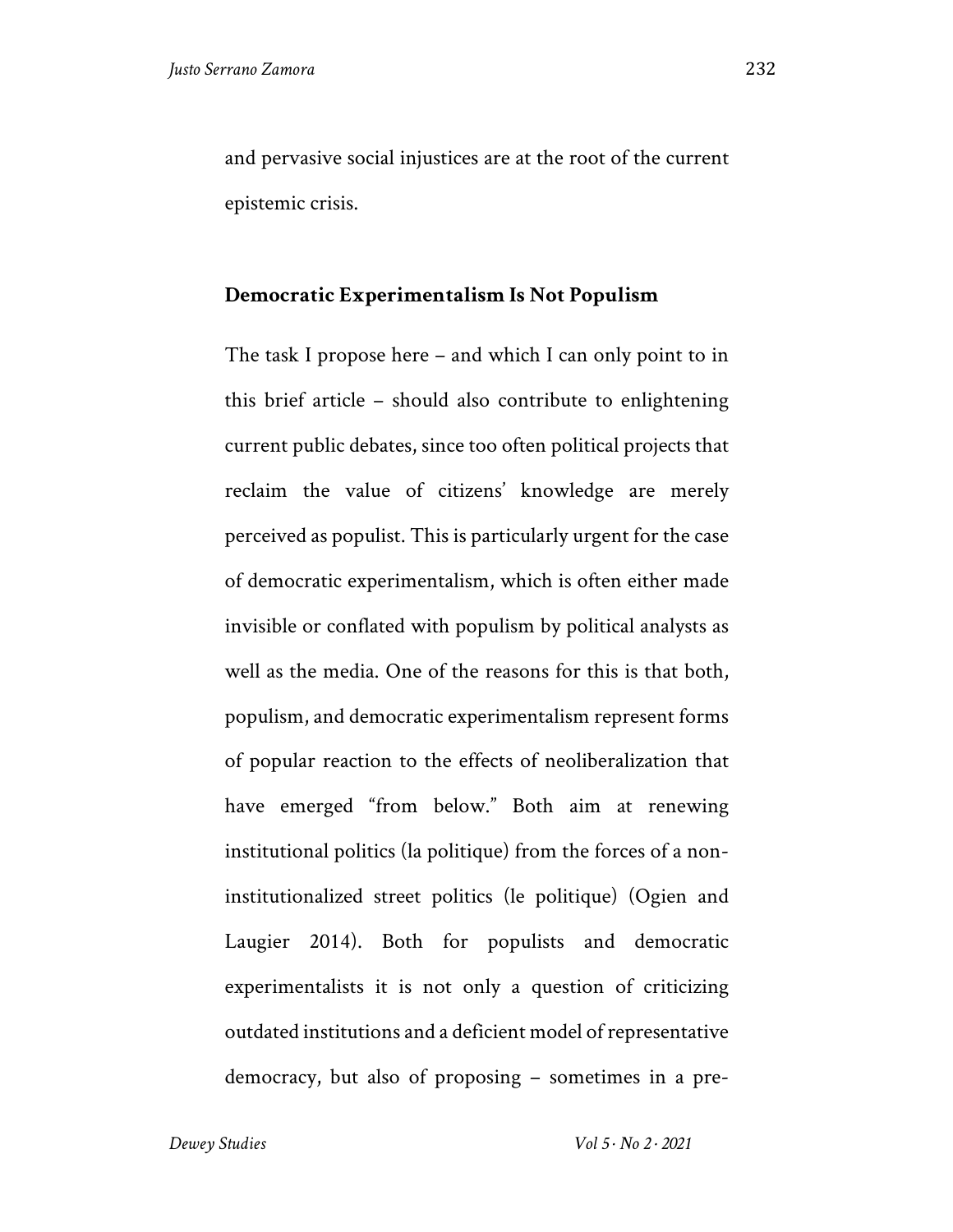and pervasive social injustices are at the root of the current epistemic crisis.

## **Democratic Experimentalism Is Not Populism**

The task I propose here – and which I can only point to in this brief article – should also contribute to enlightening current public debates, since too often political projects that reclaim the value of citizens' knowledge are merely perceived as populist. This is particularly urgent for the case of democratic experimentalism, which is often either made invisible or conflated with populism by political analysts as well as the media. One of the reasons for this is that both, populism, and democratic experimentalism represent forms of popular reaction to the effects of neoliberalization that have emerged "from below." Both aim at renewing institutional politics (la politique) from the forces of a noninstitutionalized street politics (le politique) (Ogien and Laugier 2014). Both for populists and democratic experimentalists it is not only a question of criticizing outdated institutions and a deficient model of representative democracy, but also of proposing – sometimes in a pre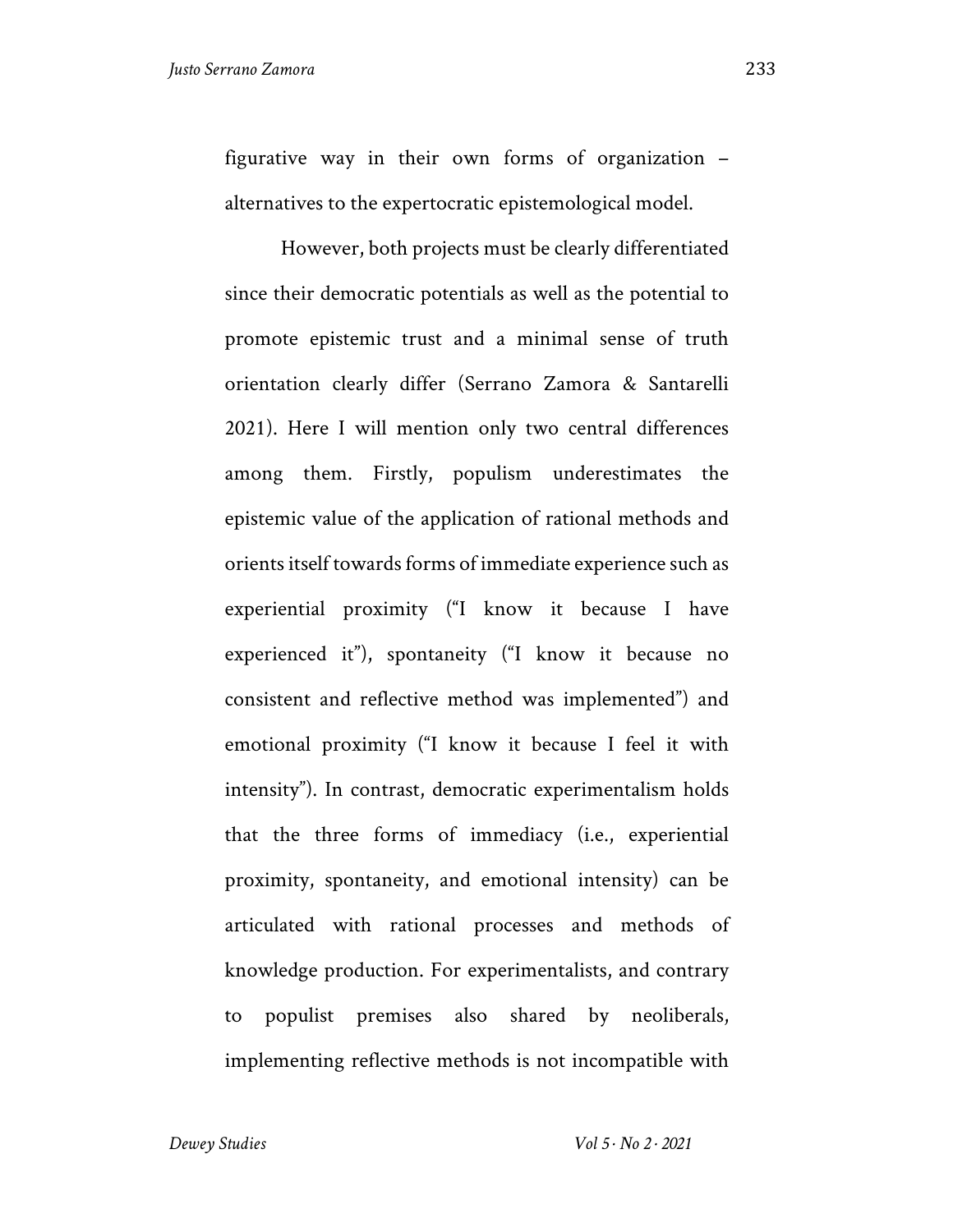figurative way in their own forms of organization – alternatives to the expertocratic epistemological model.

However, both projects must be clearly differentiated since their democratic potentials as well as the potential to promote epistemic trust and a minimal sense of truth orientation clearly differ (Serrano Zamora & Santarelli 2021). Here I will mention only two central differences among them. Firstly, populism underestimates the epistemic value of the application of rational methods and orients itself towards forms of immediate experience such as experiential proximity ("I know it because I have experienced it"), spontaneity ("I know it because no consistent and reflective method was implemented") and emotional proximity ("I know it because I feel it with intensity"). In contrast, democratic experimentalism holds that the three forms of immediacy (i.e., experiential proximity, spontaneity, and emotional intensity) can be articulated with rational processes and methods of knowledge production. For experimentalists, and contrary to populist premises also shared by neoliberals, implementing reflective methods is not incompatible with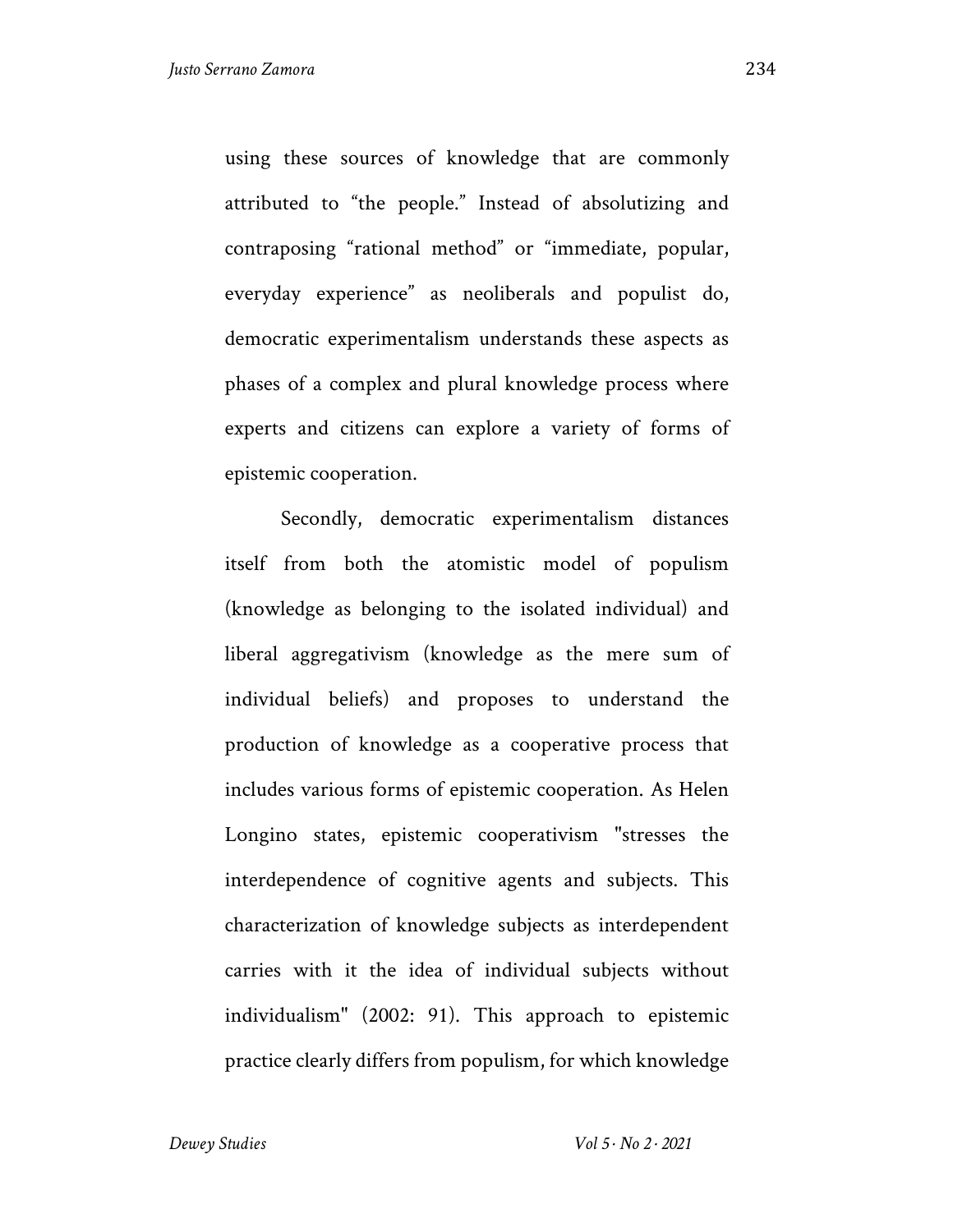using these sources of knowledge that are commonly attributed to "the people." Instead of absolutizing and contraposing "rational method" or "immediate, popular, everyday experience" as neoliberals and populist do, democratic experimentalism understands these aspects as phases of a complex and plural knowledge process where experts and citizens can explore a variety of forms of epistemic cooperation.

Secondly, democratic experimentalism distances itself from both the atomistic model of populism (knowledge as belonging to the isolated individual) and liberal aggregativism (knowledge as the mere sum of individual beliefs) and proposes to understand the production of knowledge as a cooperative process that includes various forms of epistemic cooperation. As Helen Longino states, epistemic cooperativism "stresses the interdependence of cognitive agents and subjects. This characterization of knowledge subjects as interdependent carries with it the idea of individual subjects without individualism" (2002: 91). This approach to epistemic practice clearly differs from populism, for which knowledge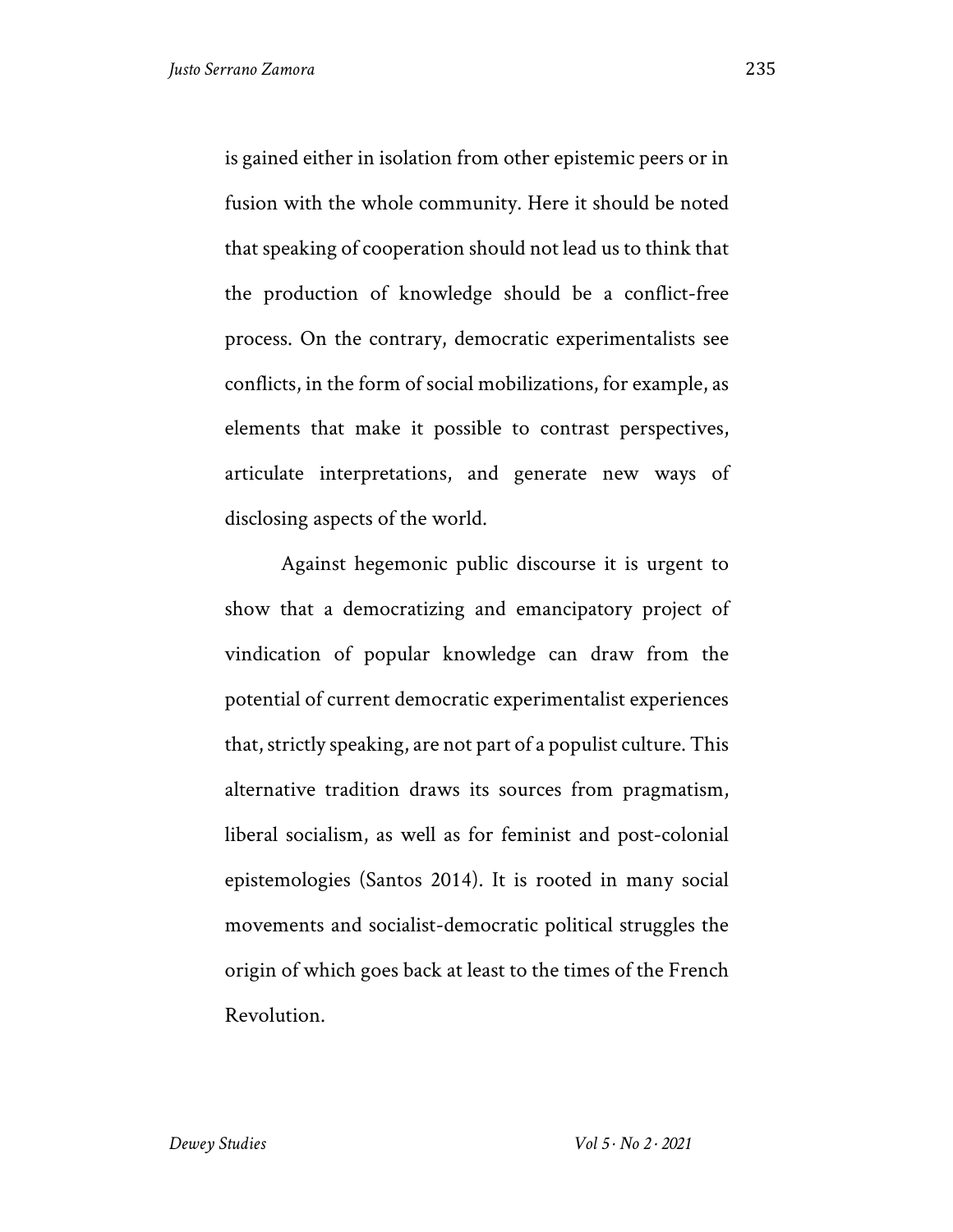is gained either in isolation from other epistemic peers or in fusion with the whole community. Here it should be noted that speaking of cooperation should not lead us to think that the production of knowledge should be a conflict-free process. On the contrary, democratic experimentalists see conflicts, in the form of social mobilizations, for example, as elements that make it possible to contrast perspectives, articulate interpretations, and generate new ways of disclosing aspects of the world.

Against hegemonic public discourse it is urgent to show that a democratizing and emancipatory project of vindication of popular knowledge can draw from the potential of current democratic experimentalist experiences that, strictly speaking, are not part of a populist culture. This alternative tradition draws its sources from pragmatism, liberal socialism, as well as for feminist and post-colonial epistemologies (Santos 2014). It is rooted in many social movements and socialist-democratic political struggles the origin of which goes back at least to the times of the French Revolution.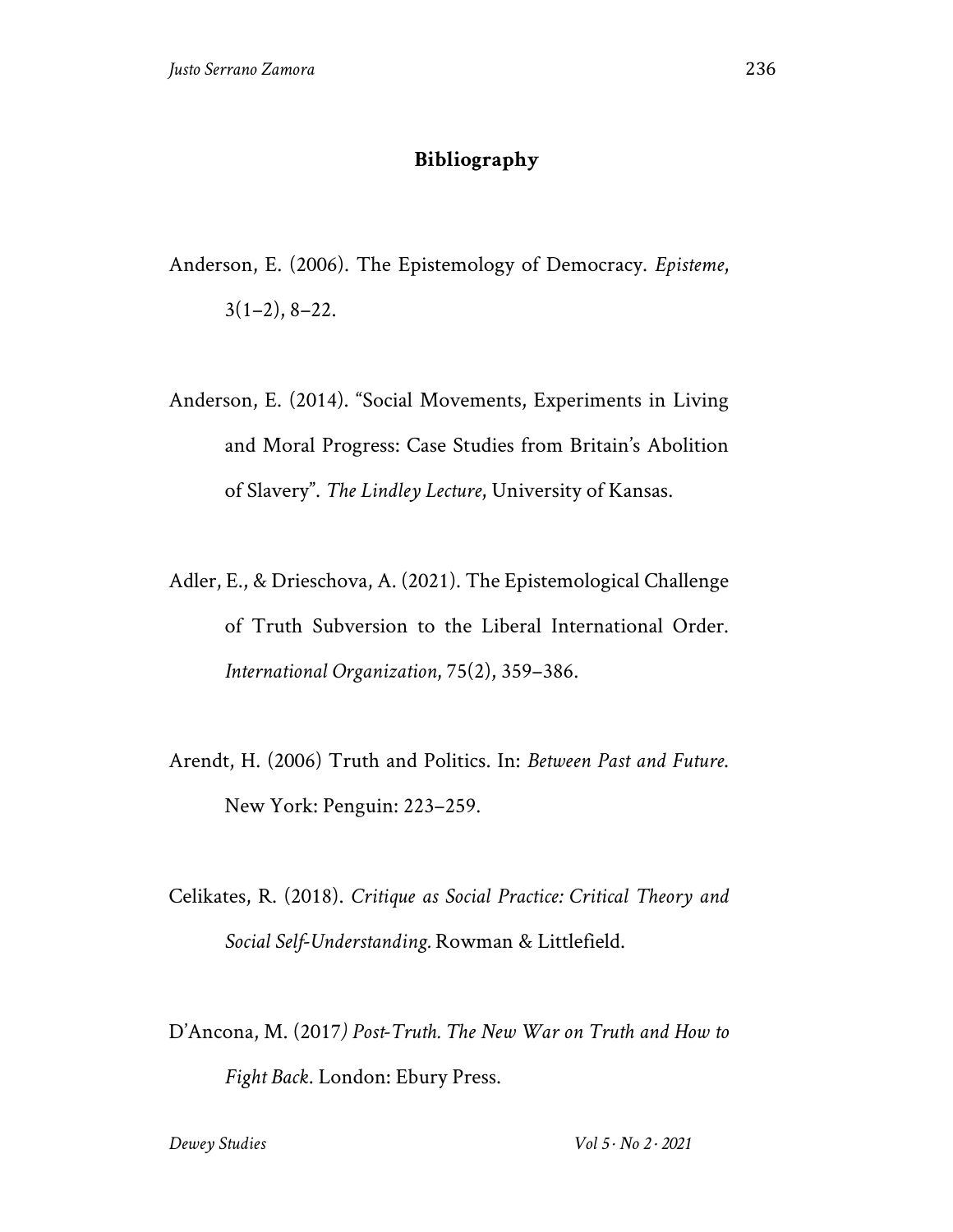## **Bibliography**

- Anderson, E. (2006). The Epistemology of Democracy. *Episteme*,  $3(1-2), 8-22.$
- Anderson, E. (2014). "Social Movements, Experiments in Living and Moral Progress: Case Studies from Britain's Abolition of Slavery". *The Lindley Lecture*, University of Kansas.
- Adler, E., & Drieschova, A. (2021). The Epistemological Challenge of Truth Subversion to the Liberal International Order. *International Organization*, 75(2), 359–386.
- Arendt, H. (2006) Truth and Politics. In: *Between Past and Future*. New York: Penguin: 223–259.
- Celikates, R. (2018). *Critique as Social Practice: Critical Theory and Social Self-Understanding.* Rowman & Littlefield.
- D'Ancona, M. (2017*) Post-Truth. The New War on Truth and How to Fight Back*. London: Ebury Press.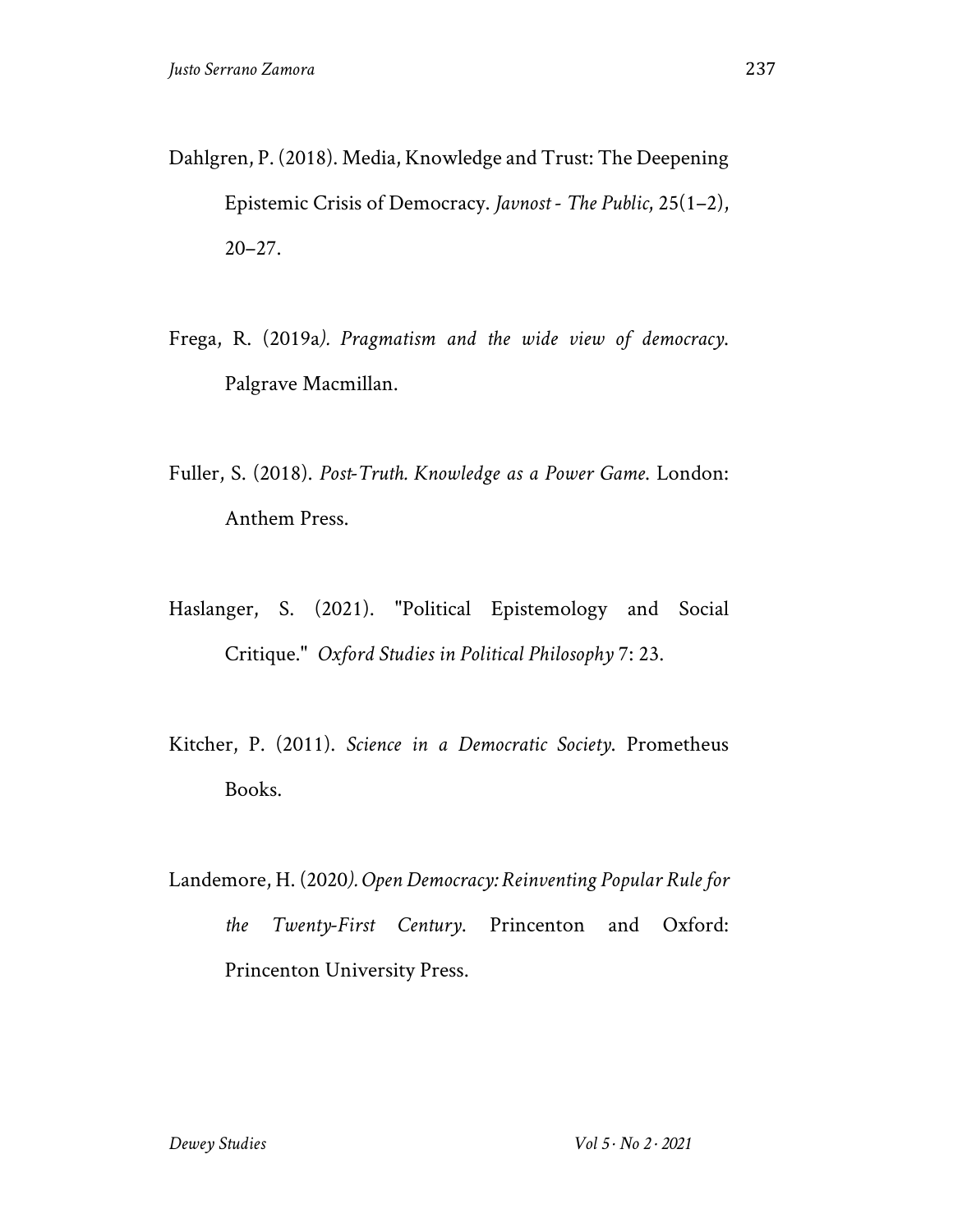- Dahlgren, P. (2018). Media, Knowledge and Trust: The Deepening Epistemic Crisis of Democracy. *Javnost - The Public*, 25(1–2), 20–27.
- Frega, R. (2019a*). Pragmatism and the wide view of democracy*. Palgrave Macmillan.
- Fuller, S. (2018). *Post-Truth. Knowledge as a Power Game*. London: Anthem Press.
- Haslanger, S. (2021). "Political Epistemology and Social Critique." *Oxford Studies in Political Philosophy* 7: 23.
- Kitcher, P. (2011). *Science in a Democratic Society*. Prometheus Books.
- Landemore, H. (2020*). Open Democracy: Reinventing Popular Rule for the Twenty-First Century*. Princenton and Oxford: Princenton University Press.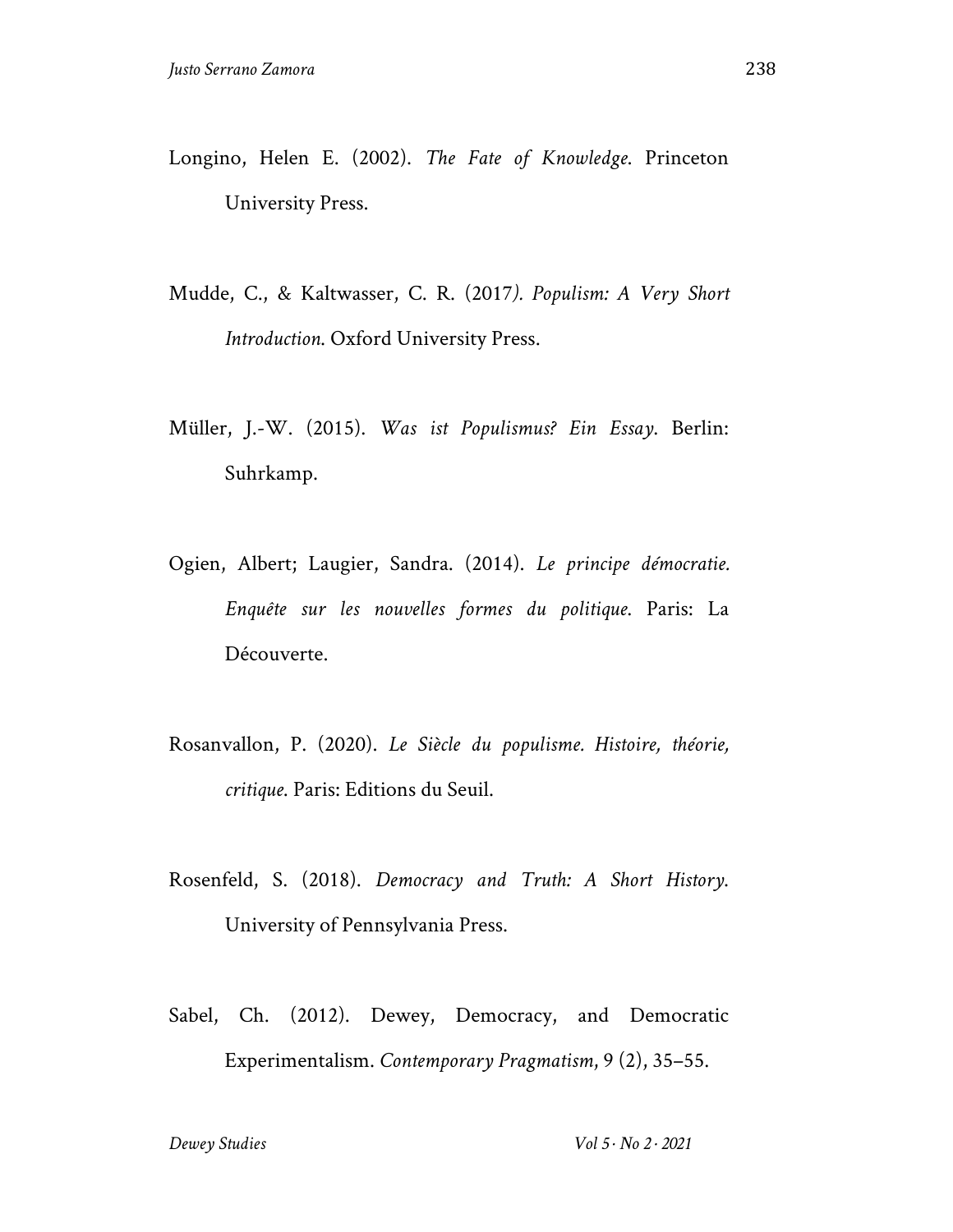- Longino, Helen E. (2002). *The Fate of Knowledge*. Princeton University Press.
- Mudde, C., & Kaltwasser, C. R. (2017*). Populism: A Very Short Introduction*. Oxford University Press.
- Müller, J.-W. (2015). *Was ist Populismus? Ein Essay*. Berlin: Suhrkamp.
- Ogien, Albert; Laugier, Sandra. (2014). *Le principe démocratie. Enquête sur les nouvelles formes du politique*. Paris: La Découverte.
- Rosanvallon, P. (2020). *Le Siècle du populisme. Histoire, théorie, critique*. Paris: Editions du Seuil.
- Rosenfeld, S. (2018). *Democracy and Truth: A Short History*. University of Pennsylvania Press.
- Sabel, Ch. (2012). Dewey, Democracy, and Democratic Experimentalism. *Contemporary Pragmatism*, 9 (2), 35–55.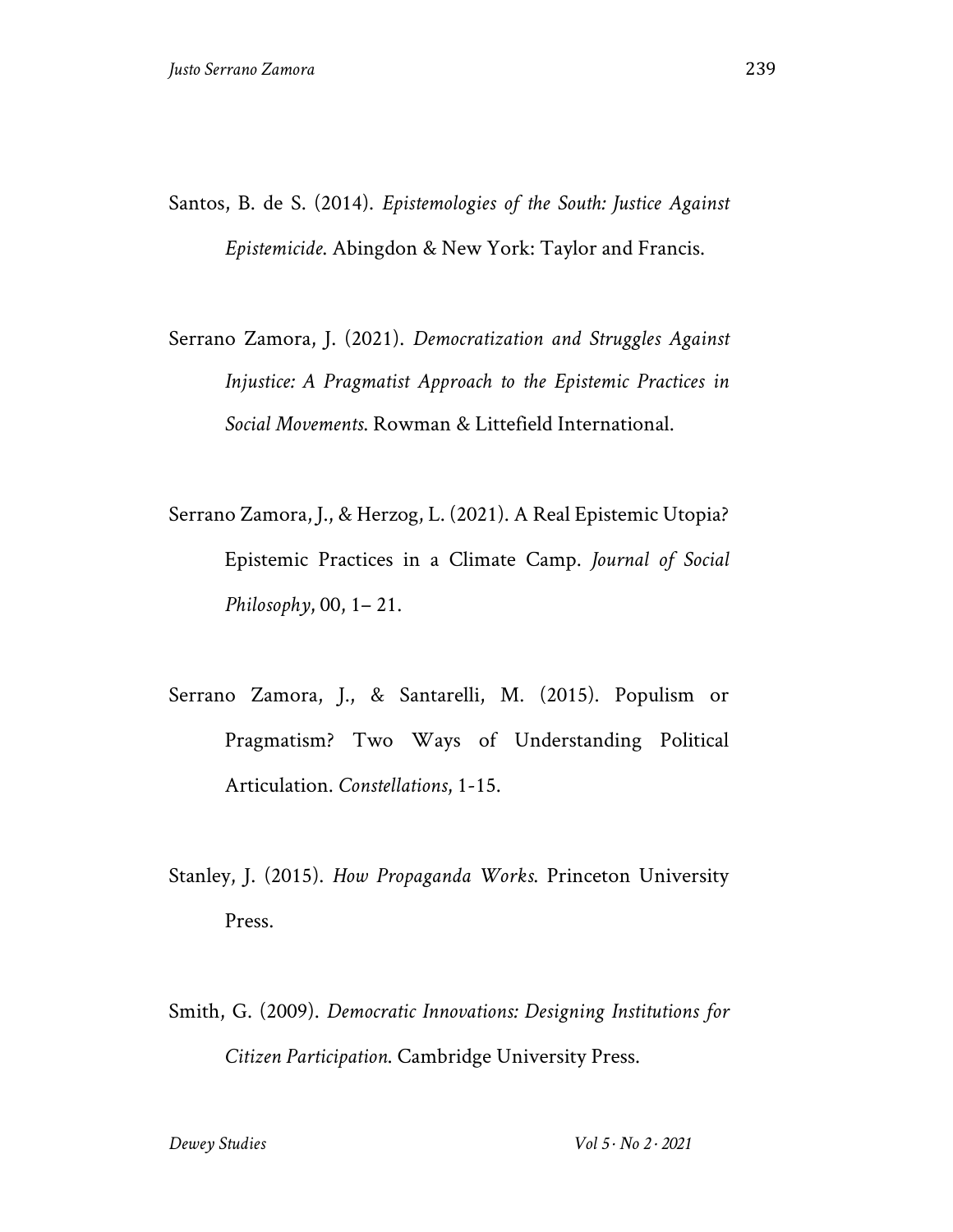- Santos, B. de S. (2014). *Epistemologies of the South: Justice Against Epistemicide*. Abingdon & New York: Taylor and Francis.
- Serrano Zamora, J. (2021). *Democratization and Struggles Against Injustice: A Pragmatist Approach to the Epistemic Practices in Social Movements*. Rowman & Littefield International.
- Serrano Zamora, J., & Herzog, L. (2021). A Real Epistemic Utopia? Epistemic Practices in a Climate Camp. *Journal of Social Philosophy*, 00, 1– 21.
- Serrano Zamora, J., & Santarelli, M. (2015). Populism or Pragmatism? Two Ways of Understanding Political Articulation. *Constellations*, 1-15.
- Stanley, J. (2015). *How Propaganda Works*. Princeton University Press.
- Smith, G. (2009). *Democratic Innovations: Designing Institutions for Citizen Participation*. Cambridge University Press.